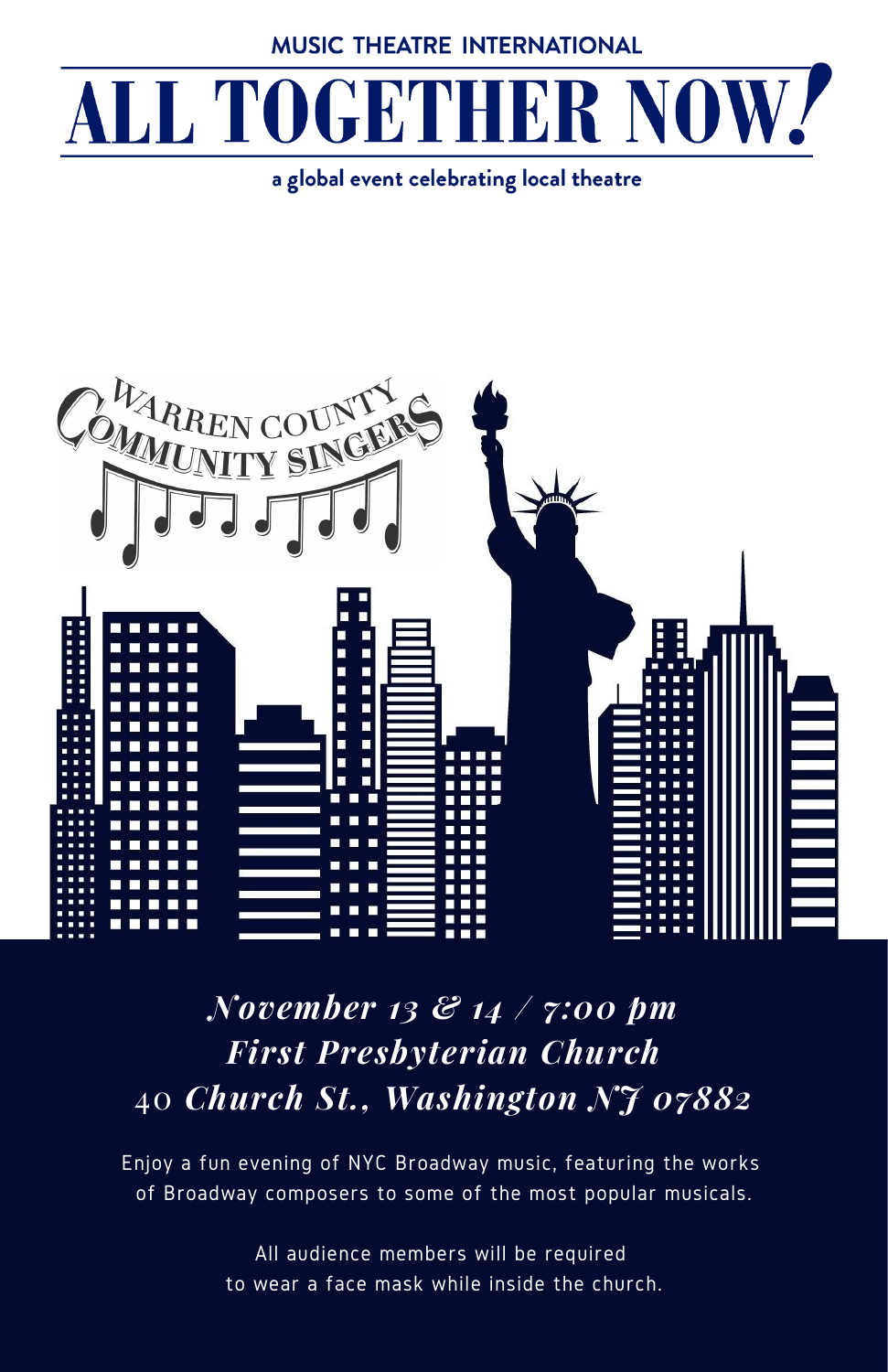**MUSIC THEATRE INTERNATIONAL** 

## ALL TOGETHER NOW.

a global event celebrating local theatre



## *November 13 & 14 / 7:00 pm First Presbyterian Church* 40 *Church St., Washington NJ 07882*

Enjoy a fun evening of NYC Broadway music, featuring the works of Broadway composers to some of the most popular musicals.

> All audience members will be required to wear a face mask while inside the church.